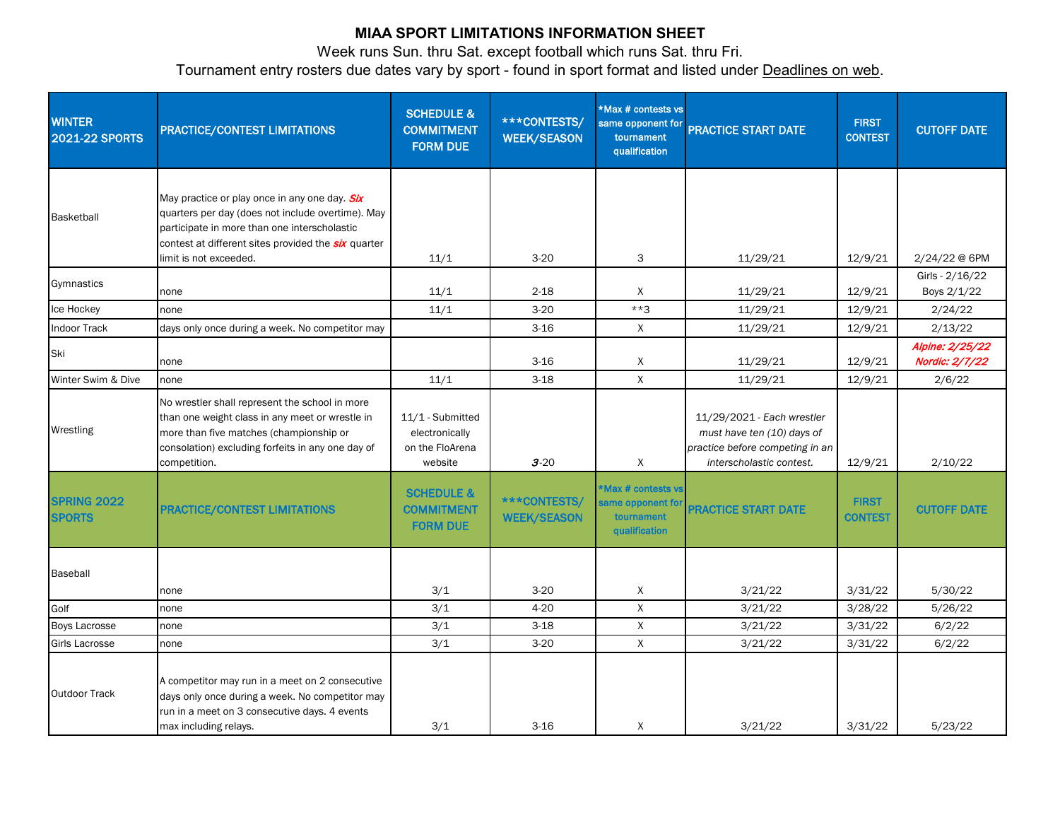## **MIAA SPORT LIMITATIONS INFORMATION SHEET**

Week runs Sun. thru Sat. except football which runs Sat. thru Fri. Tournament entry rosters due dates vary by sport - found in sport format and listed under Deadlines on web.

| <b>WINTER</b><br><b>2021-22 SPORTS</b> | PRACTICE/CONTEST LIMITATIONS                                                                                                                                                                                                               | <b>SCHEDULE &amp;</b><br><b>COMMITMENT</b><br><b>FORM DUE</b>    | <b>***CONTESTS/</b><br><b>WEEK/SEASON</b> | *Max # contests vs<br>same opponent for<br>tournament<br>qualification       | <b>PRACTICE START DATE</b>                                                                                              | <b>FIRST</b><br><b>CONTEST</b> | <b>CUTOFF DATE</b>                |
|----------------------------------------|--------------------------------------------------------------------------------------------------------------------------------------------------------------------------------------------------------------------------------------------|------------------------------------------------------------------|-------------------------------------------|------------------------------------------------------------------------------|-------------------------------------------------------------------------------------------------------------------------|--------------------------------|-----------------------------------|
| Basketball                             | May practice or play once in any one day. Six<br>quarters per day (does not include overtime). May<br>participate in more than one interscholastic<br>contest at different sites provided the <b>six</b> quarter<br>limit is not exceeded. | 11/1                                                             | $3-20$                                    | 3                                                                            | 11/29/21                                                                                                                | 12/9/21                        | 2/24/22 @ 6PM                     |
| Gymnastics                             | none                                                                                                                                                                                                                                       | 11/1                                                             | $2 - 18$                                  | X                                                                            | 11/29/21                                                                                                                | 12/9/21                        | Girls - 2/16/22<br>Boys 2/1/22    |
| Ice Hockey                             | none                                                                                                                                                                                                                                       | 11/1                                                             | $3 - 20$                                  | $***3$                                                                       | 11/29/21                                                                                                                | 12/9/21                        | 2/24/22                           |
| Indoor Track                           | days only once during a week. No competitor may                                                                                                                                                                                            |                                                                  | $3 - 16$                                  | X                                                                            | 11/29/21                                                                                                                | 12/9/21                        | 2/13/22                           |
| Ski                                    | none                                                                                                                                                                                                                                       |                                                                  | $3 - 16$                                  | X                                                                            | 11/29/21                                                                                                                | 12/9/21                        | Alpine: 2/25/22<br>Nordic: 2/7/22 |
| Winter Swim & Dive                     | none                                                                                                                                                                                                                                       | 11/1                                                             | $3 - 18$                                  | $\mathsf{X}$                                                                 | 11/29/21                                                                                                                | 12/9/21                        | 2/6/22                            |
| Wrestling                              | No wrestler shall represent the school in more<br>than one weight class in any meet or wrestle in<br>more than five matches (championship or<br>consolation) excluding forfeits in any one day of<br>competition.                          | 11/1 - Submitted<br>electronically<br>on the FloArena<br>website | $3 - 20$                                  | X                                                                            | 11/29/2021 - Each wrestler<br>must have ten (10) days of<br>practice before competing in an<br>interscholastic contest. | 12/9/21                        | 2/10/22                           |
| <b>SPRING 2022</b><br><b>SPORTS</b>    | <b>PRACTICE/CONTEST LIMITATIONS</b>                                                                                                                                                                                                        | <b>SCHEDULE &amp;</b><br><b>COMMITMENT</b><br><b>FORM DUE</b>    | <b>***CONTESTS/</b><br><b>WEEK/SEASON</b> | <b>Max # contests vs</b><br>same opponent for<br>tournament<br>qualification | <b>PRACTICE START DATE</b>                                                                                              | <b>FIRST</b><br><b>CONTEST</b> | <b>CUTOFF DATE</b>                |
| Baseball                               | none                                                                                                                                                                                                                                       | 3/1                                                              | $3 - 20$                                  | Χ                                                                            | 3/21/22                                                                                                                 | 3/31/22                        | 5/30/22                           |
| Golf                                   | none                                                                                                                                                                                                                                       | 3/1                                                              | $4 - 20$                                  | X                                                                            | 3/21/22                                                                                                                 | 3/28/22                        | 5/26/22                           |
| <b>Boys Lacrosse</b>                   | none                                                                                                                                                                                                                                       | 3/1                                                              | $3 - 18$                                  | $\mathsf{X}$                                                                 | 3/21/22                                                                                                                 | 3/31/22                        | 6/2/22                            |
| Girls Lacrosse                         | none                                                                                                                                                                                                                                       | 3/1                                                              | $3 - 20$                                  | X                                                                            | 3/21/22                                                                                                                 | 3/31/22                        | 6/2/22                            |
| <b>Outdoor Track</b>                   | A competitor may run in a meet on 2 consecutive<br>days only once during a week. No competitor may<br>run in a meet on 3 consecutive days. 4 events<br>max including relays.                                                               | 3/1                                                              | $3 - 16$                                  | X                                                                            | 3/21/22                                                                                                                 | 3/31/22                        | 5/23/22                           |